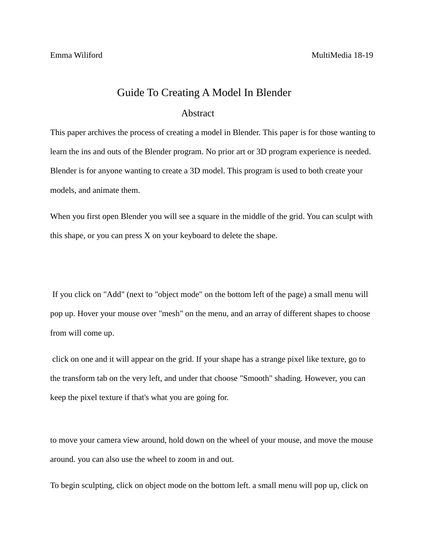## Guide To Creating A Model In Blender

## Abstract

This paper archives the process of creating a model in Blender. This paper is for those wanting to learn the ins and outs of the Blender program. No prior art or 3D program experience is needed. Blender is for anyone wanting to create a 3D model. This program is used to both create your models, and animate them.

When you first open Blender you will see a square in the middle of the grid. You can sculpt with this shape, or you can press X on your keyboard to delete the shape.

If you click on "Add" (next to "object mode" on the bottom left of the page) a small menu will pop up. Hover your mouse over "mesh" on the menu, and an array of different shapes to choose from will come up.

click on one and it will appear on the grid. If your shape has a strange pixel like texture, go to the transform tab on the very left, and under that choose "Smooth" shading. However, you can keep the pixel texture if that's what you are going for.

to move your camera view around, hold down on the wheel of your mouse, and move the mouse around. you can also use the wheel to zoom in and out.

To begin sculpting, click on object mode on the bottom left. a small menu will pop up, click on